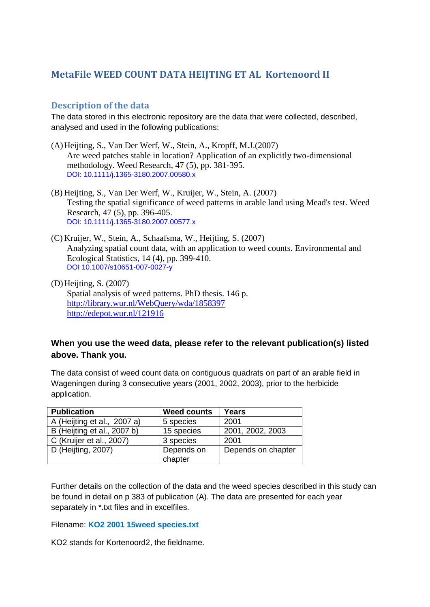# **MetaFile WEED COUNT DATA HEIJTING ET AL Kortenoord II**

### **Description of the data**

The data stored in this electronic repository are the data that were collected, described, analysed and used in the following publications:

- (A)Heijting, S., Van Der Werf, W., Stein, A., Kropff, M.J.(2007) Are weed patches stable in location? Application of an explicitly two-dimensional methodology. Weed Research, 47 (5), pp. 381-395. DOI: 10.1111/j.1365-3180.2007.00580.x
- (B) Heijting, S., Van Der Werf, W., Kruijer, W., Stein, A. (2007) Testing the spatial significance of weed patterns in arable land using Mead's test. Weed Research, 47 (5), pp. 396-405. DOI: 10.1111/j.1365-3180.2007.00577.x
- (C) Kruijer, W., Stein, A., Schaafsma, W., Heijting, S. (2007) Analyzing spatial count data, with an application to weed counts. Environmental and Ecological Statistics, 14 (4), pp. 399-410. DOI 10.1007/s10651-007-0027-y
- (D)Heijting, S. (2007) Spatial analysis of weed patterns. PhD thesis. 146 p. <http://library.wur.nl/WebQuery/wda/1858397> <http://edepot.wur.nl/121916>

### **When you use the weed data, please refer to the relevant publication(s) listed above. Thank you.**

The data consist of weed count data on contiguous quadrats on part of an arable field in Wageningen during 3 consecutive years (2001, 2002, 2003), prior to the herbicide application.

| <b>Publication</b>          | <b>Weed counts</b> | Years              |
|-----------------------------|--------------------|--------------------|
| A (Heijting et al., 2007 a) | 5 species          | 2001               |
| B (Heijting et al., 2007 b) | 15 species         | 2001, 2002, 2003   |
| C (Kruijer et al., 2007)    | 3 species          | 2001               |
| D (Heijting, 2007)          | Depends on         | Depends on chapter |
|                             | chapter            |                    |

Further details on the collection of the data and the weed species described in this study can be found in detail on p 383 of publication (A). The data are presented for each year separately in \*.txt files and in excelfiles.

### Filename: **KO2 2001 15weed species.txt**

KO2 stands for Kortenoord2, the fieldname.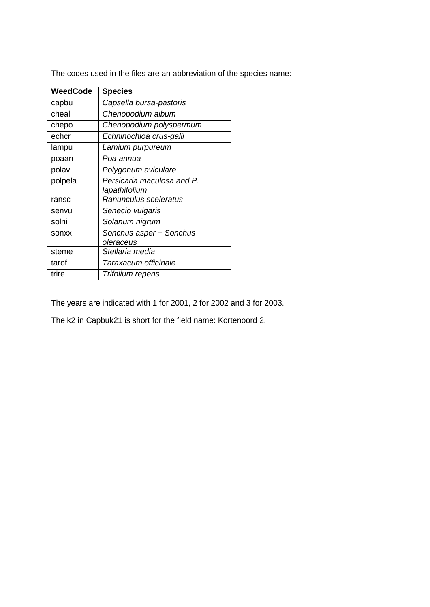The codes used in the files are an abbreviation of the species name:

| <b>WeedCode</b> | <b>Species</b>             |
|-----------------|----------------------------|
| capbu           | Capsella bursa-pastoris    |
| cheal           | Chenopodium album          |
| chepo           | Chenopodium polyspermum    |
| echcr           | Echninochloa crus-galli    |
| lampu           | Lamium purpureum           |
| poaan           | Poa annua                  |
| polav           | Polygonum aviculare        |
| polpela         | Persicaria maculosa and P. |
|                 | lapathifolium              |
| ransc           | Ranunculus sceleratus      |
| senvu           | Senecio vulgaris           |
| solni           | Solanum nigrum             |
| sonxx           | Sonchus asper + Sonchus    |
|                 | oleraceus                  |
| steme           | Stellaria media            |
| tarof           | Taraxacum officinale       |
| trire           | Trifolium repens           |

The years are indicated with 1 for 2001, 2 for 2002 and 3 for 2003.

The k2 in Capbuk21 is short for the field name: Kortenoord 2.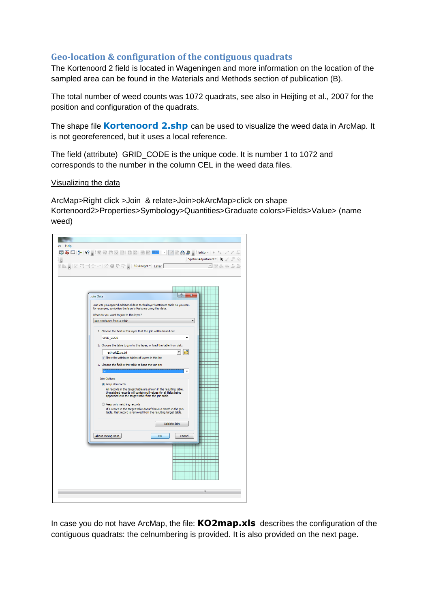## **Geo-location & configuration of the contiguous quadrats**

The Kortenoord 2 field is located in Wageningen and more information on the location of the sampled area can be found in the Materials and Methods section of publication (B).

The total number of weed counts was 1072 quadrats, see also in Heijting et al., 2007 for the position and configuration of the quadrats.

The shape file **Kortenoord 2.shp** can be used to visualize the weed data in ArcMap. It is not georeferenced, but it uses a local reference.

The field (attribute) GRID CODE is the unique code. It is number 1 to 1072 and corresponds to the number in the column CEL in the weed data files.

#### Visualizing the data

ArcMap>Right click >Join & relate>Join>okArcMap>click on shape Kortenoord2>Properties>Symbology>Quantities>Graduate colors>Fields>Value> (name weed)



In case you do not have ArcMap, the file: **KO2map.xls** describes the configuration of the contiguous quadrats: the celnumbering is provided. It is also provided on the next page.